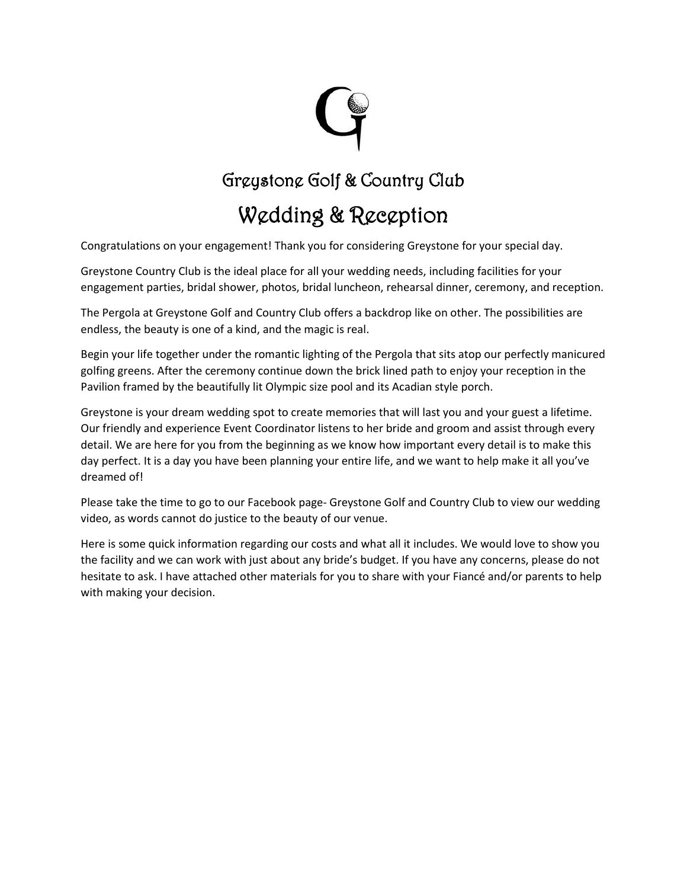

## Greystone Golf & Country Club

## Wedding & Reception

Congratulations on your engagement! Thank you for considering Greystone for your special day.

Greystone Country Club is the ideal place for all your wedding needs, including facilities for your engagement parties, bridal shower, photos, bridal luncheon, rehearsal dinner, ceremony, and reception.

The Pergola at Greystone Golf and Country Club offers a backdrop like on other. The possibilities are endless, the beauty is one of a kind, and the magic is real.

Begin your life together under the romantic lighting of the Pergola that sits atop our perfectly manicured golfing greens. After the ceremony continue down the brick lined path to enjoy your reception in the Pavilion framed by the beautifully lit Olympic size pool and its Acadian style porch.

Greystone is your dream wedding spot to create memories that will last you and your guest a lifetime. Our friendly and experience Event Coordinator listens to her bride and groom and assist through every detail. We are here for you from the beginning as we know how important every detail is to make this day perfect. It is a day you have been planning your entire life, and we want to help make it all you've dreamed of!

Please take the time to go to our Facebook page- Greystone Golf and Country Club to view our wedding video, as words cannot do justice to the beauty of our venue.

Here is some quick information regarding our costs and what all it includes. We would love to show you the facility and we can work with just about any bride's budget. If you have any concerns, please do not hesitate to ask. I have attached other materials for you to share with your Fiancé and/or parents to help with making your decision.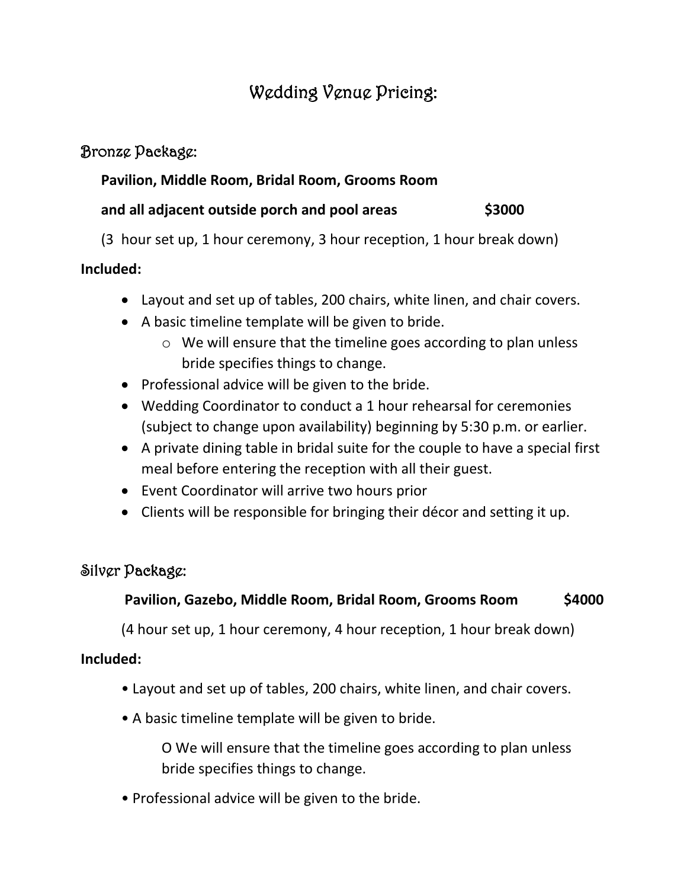### Wedding Venue Pricing:

#### Bronze Package:

#### **Pavilion, Middle Room, Bridal Room, Grooms Room**

#### **and all adjacent outside porch and pool areas \$3000**

(3 hour set up, 1 hour ceremony, 3 hour reception, 1 hour break down)

#### **Included:**

- Layout and set up of tables, 200 chairs, white linen, and chair covers.
- A basic timeline template will be given to bride.
	- o We will ensure that the timeline goes according to plan unless bride specifies things to change.
- Professional advice will be given to the bride.
- Wedding Coordinator to conduct a 1 hour rehearsal for ceremonies (subject to change upon availability) beginning by 5:30 p.m. or earlier.
- A private dining table in bridal suite for the couple to have a special first meal before entering the reception with all their guest.
- Event Coordinator will arrive two hours prior
- Clients will be responsible for bringing their décor and setting it up.

#### Silver Package:

#### **Pavilion, Gazebo, Middle Room, Bridal Room, Grooms Room \$4000**

(4 hour set up, 1 hour ceremony, 4 hour reception, 1 hour break down)

#### **Included:**

- Layout and set up of tables, 200 chairs, white linen, and chair covers.
- A basic timeline template will be given to bride.

O We will ensure that the timeline goes according to plan unless bride specifies things to change.

• Professional advice will be given to the bride.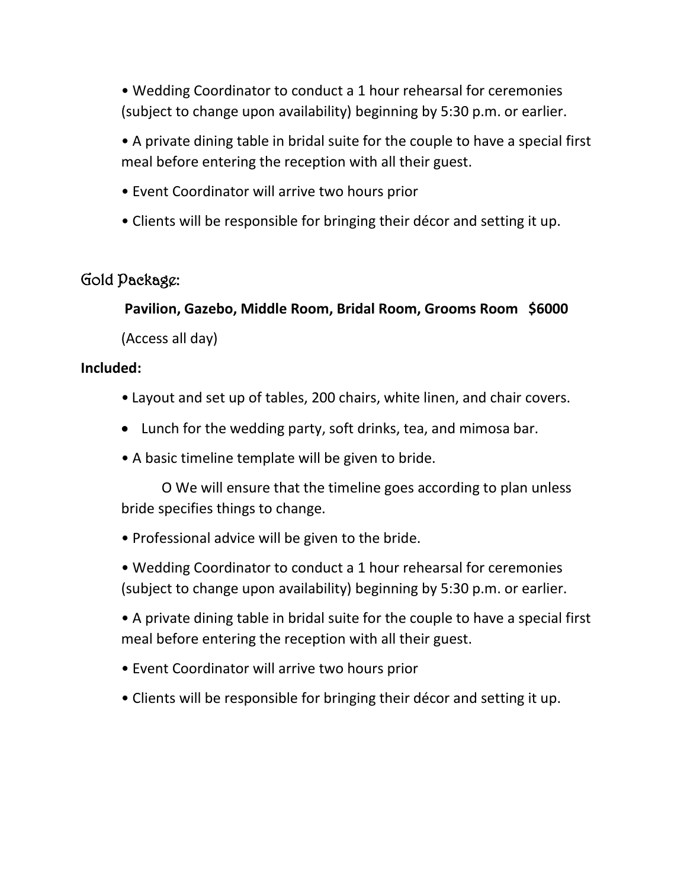• Wedding Coordinator to conduct a 1 hour rehearsal for ceremonies (subject to change upon availability) beginning by 5:30 p.m. or earlier.

• A private dining table in bridal suite for the couple to have a special first meal before entering the reception with all their guest.

- Event Coordinator will arrive two hours prior
- Clients will be responsible for bringing their décor and setting it up.

#### Gold Package:

**Pavilion, Gazebo, Middle Room, Bridal Room, Grooms Room \$6000**

(Access all day)

#### **Included:**

- Layout and set up of tables, 200 chairs, white linen, and chair covers.
- Lunch for the wedding party, soft drinks, tea, and mimosa bar.
- A basic timeline template will be given to bride.

O We will ensure that the timeline goes according to plan unless bride specifies things to change.

• Professional advice will be given to the bride.

• Wedding Coordinator to conduct a 1 hour rehearsal for ceremonies (subject to change upon availability) beginning by 5:30 p.m. or earlier.

• A private dining table in bridal suite for the couple to have a special first meal before entering the reception with all their guest.

- Event Coordinator will arrive two hours prior
- Clients will be responsible for bringing their décor and setting it up.